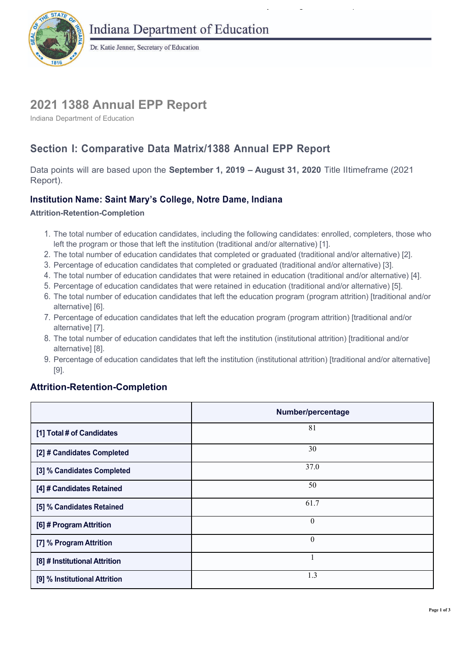

Dr. Katie Jenner, Secretary of Education

# **2021 1388 Annual EPP Report**

Indiana Department of Education

# **Section I: Comparative Data Matrix/1388 Annual EPP Report**

 Data points will are based upon the **September 1, 2019 – August 31, 2020** Title IItimeframe (2021 Report).

## **Institution Name: Saint Mary's College, Notre Dame, Indiana**

**Attrition-Retention-Completion** 

 1. The total number of education candidates, including the following candidates: enrolled, completers, those who left the program or those that left the institution (traditional and/or alternative) [1].

 $\mathbf{y} = \mathbf{y}$  g product the set of  $\mathbf{y}$ 

- 2. The total number of education candidates that completed or graduated (traditional and/or alternative) [2].
- 3. Percentage of education candidates that completed or graduated (traditional and/or alternative) [3].
- 4. The total number of education candidates that were retained in education (traditional and/or alternative) [4].
- 5. Percentage of education candidates that were retained in education (traditional and/or alternative) [5].
- 6. The total number of education candidates that left the education program (program attrition) [traditional and/or alternative] [6].
- 7. Percentage of education candidates that left the education program (program attrition) [traditional and/or alternative] [7].
- 8. The total number of education candidates that left the institution (institutional attrition) [traditional and/or alternative] [8].
- 9. Percentage of education candidates that left the institution (institutional attrition) [traditional and/or alternative] [9].

### **Attrition-Retention-Completion**

|                               | Number/percentage |
|-------------------------------|-------------------|
| [1] Total # of Candidates     | 81                |
| [2] # Candidates Completed    | 30                |
| [3] % Candidates Completed    | 37.0              |
| [4] # Candidates Retained     | 50                |
| [5] % Candidates Retained     | 61.7              |
| [6] # Program Attrition       | $\theta$          |
| [7] % Program Attrition       | $\boldsymbol{0}$  |
| [8] # Institutional Attrition | 1                 |
| [9] % Institutional Attrition | 1.3               |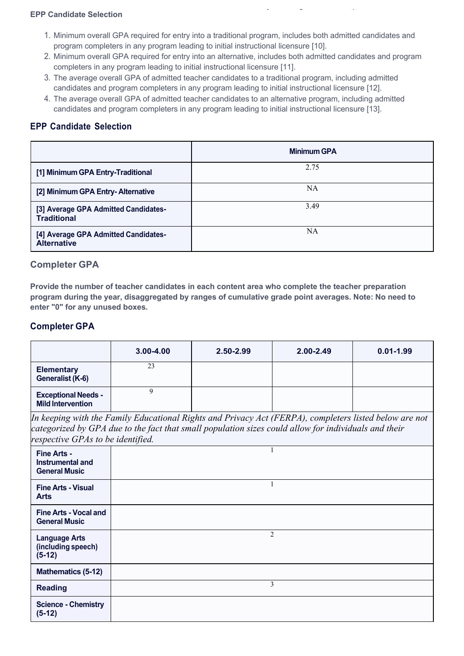#### **EPP Candidate Selection**

 1. Minimum overall GPA required for entry into a traditional program, includes both admitted candidates and program completers in any program leading to initial instructional licensure [10].

 $\mathcal{L}$  g product the product  $\mathcal{L}$ 

- completers in any program leading to initial instructional licensure [11]. 2. Minimum overall GPA required for entry into an alternative, includes both admitted candidates and program
- 3. The average overall GPA of admitted teacher candidates to a traditional program, including admitted candidates and program completers in any program leading to initial instructional licensure [12].
- candidates and program completers in any program leading to initial instructional licensure [13]. 4. The average overall GPA of admitted teacher candidates to an alternative program, including admitted

#### **EPP Candidate Selection**

|                                                            | <b>Minimum GPA</b> |
|------------------------------------------------------------|--------------------|
| [1] Minimum GPA Entry-Traditional                          | 2.75               |
| [2] Minimum GPA Entry-Alternative                          | NA                 |
| [3] Average GPA Admitted Candidates-<br><b>Traditional</b> | 3.49               |
| [4] Average GPA Admitted Candidates-<br><b>Alternative</b> | NA                 |

#### **Completer GPA**

 **Provide the number of teacher candidates in each content area who complete the teacher preparation program during the year, disaggregated by ranges of cumulative grade point averages. Note: No need to enter "0" for any unused boxes.** 

#### **Completer GPA**

|                                                        | $3.00 - 4.00$ | $2.50 - 2.99$ | $2.00 - 2.49$ | $0.01 - 1.99$ |
|--------------------------------------------------------|---------------|---------------|---------------|---------------|
| <b>Elementary</b><br>Generalist (K-6)                  | 23            |               |               |               |
| <b>Exceptional Needs -</b><br><b>Mild Intervention</b> |               |               |               |               |

 *categorized by GPA due to the fact that small population sizes could allow for individuals and their In keeping with the Family Educational Rights and Privacy Act (FERPA), completers listed below are not respective GPAs to be identified.* 

| Fine Arts -<br><b>Instrumental and</b><br><b>General Music</b> |                |
|----------------------------------------------------------------|----------------|
| <b>Fine Arts - Visual</b><br><b>Arts</b>                       |                |
| <b>Fine Arts - Vocal and</b><br><b>General Music</b>           |                |
| <b>Language Arts</b><br>(including speech)<br>$(5-12)$         | $\overline{2}$ |
| <b>Mathematics (5-12)</b>                                      |                |
| <b>Reading</b>                                                 | 3              |
| <b>Science - Chemistry</b><br>$(5-12)$                         |                |